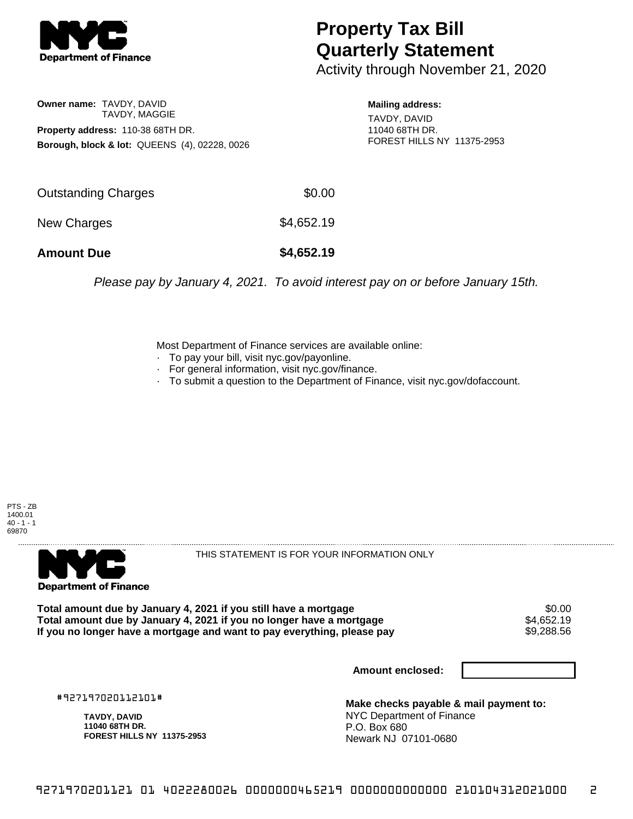

## **Property Tax Bill Quarterly Statement**

Activity through November 21, 2020

**Owner name:** TAVDY, DAVID TAVDY, MAGGIE **Property address:** 110-38 68TH DR. **Borough, block & lot:** QUEENS (4), 02228, 0026 **Mailing address:** TAVDY, DAVID 11040 68TH DR. FOREST HILLS NY 11375-2953

| <b>Amount Due</b>   | \$4,652.19 |
|---------------------|------------|
| New Charges         | \$4,652.19 |
| Outstanding Charges | \$0.00     |

Please pay by January 4, 2021. To avoid interest pay on or before January 15th.

Most Department of Finance services are available online:

- · To pay your bill, visit nyc.gov/payonline.
- For general information, visit nyc.gov/finance.
- · To submit a question to the Department of Finance, visit nyc.gov/dofaccount.





THIS STATEMENT IS FOR YOUR INFORMATION ONLY

Total amount due by January 4, 2021 if you still have a mortgage \$0.00<br>Total amount due by January 4, 2021 if you no longer have a mortgage \$4.652.19 **Total amount due by January 4, 2021 if you no longer have a mortgage** \$4,652.19 If you no longer have a mortgage and want to pay everything, please pay

**Amount enclosed:**

#927197020112101#

**TAVDY, DAVID 11040 68TH DR. FOREST HILLS NY 11375-2953**

**Make checks payable & mail payment to:** NYC Department of Finance P.O. Box 680 Newark NJ 07101-0680